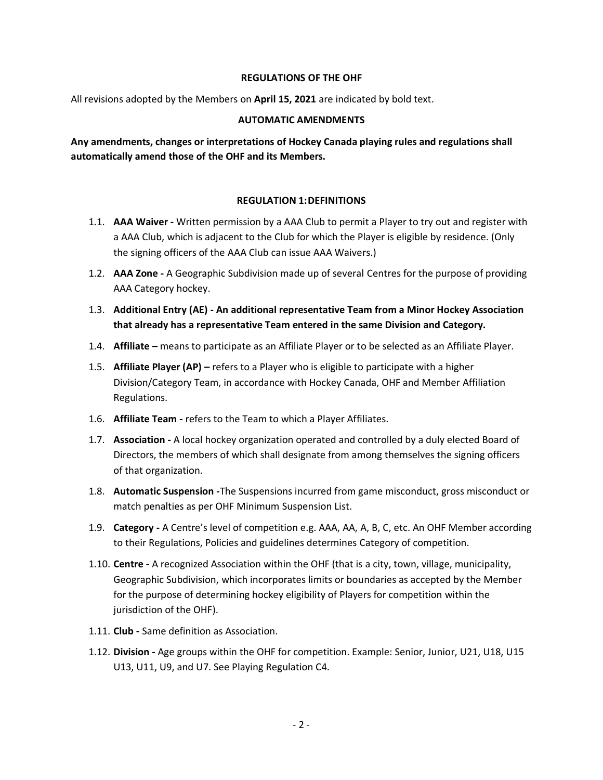### **REGULATIONS OF THE OHF**

All revisions adopted by the Members on **April 15, 2021** are indicated by bold text.

#### **AUTOMATIC AMENDMENTS**

**Any amendments, changes or interpretations of Hockey Canada playing rules and regulations shall automatically amend those of the OHF and its Members.**

## **REGULATION 1:DEFINITIONS**

- 1.1. **AAA Waiver -** Written permission by a AAA Club to permit a Player to try out and register with a AAA Club, which is adjacent to the Club for which the Player is eligible by residence. (Only the signing officers of the AAA Club can issue AAA Waivers.)
- 1.2. **AAA Zone -** A Geographic Subdivision made up of several Centres for the purpose of providing AAA Category hockey.
- 1.3. **Additional Entry (AE) - An additional representative Team from a Minor Hockey Association that already has a representative Team entered in the same Division and Category.**
- 1.4. **Affiliate –** means to participate as an Affiliate Player or to be selected as an Affiliate Player.
- 1.5. **Affiliate Player (AP) –** refers to a Player who is eligible to participate with a higher Division/Category Team, in accordance with Hockey Canada, OHF and Member Affiliation Regulations.
- 1.6. **Affiliate Team -** refers to the Team to which a Player Affiliates.
- 1.7. **Association -** A local hockey organization operated and controlled by a duly elected Board of Directors, the members of which shall designate from among themselves the signing officers of that organization.
- 1.8. **Automatic Suspension -**The Suspensions incurred from game misconduct, gross misconduct or match penalties as per OHF Minimum Suspension List.
- 1.9. **Category -** A Centre's level of competition e.g. AAA, AA, A, B, C, etc. An OHF Member according to their Regulations, Policies and guidelines determines Category of competition.
- 1.10. **Centre -** A recognized Association within the OHF (that is a city, town, village, municipality, Geographic Subdivision, which incorporates limits or boundaries as accepted by the Member for the purpose of determining hockey eligibility of Players for competition within the jurisdiction of the OHF).
- 1.11. **Club -** Same definition as Association.
- 1.12. **Division -** Age groups within the OHF for competition. Example: Senior, Junior, U21, U18, U15 U13, U11, U9, and U7. See Playing Regulation C4.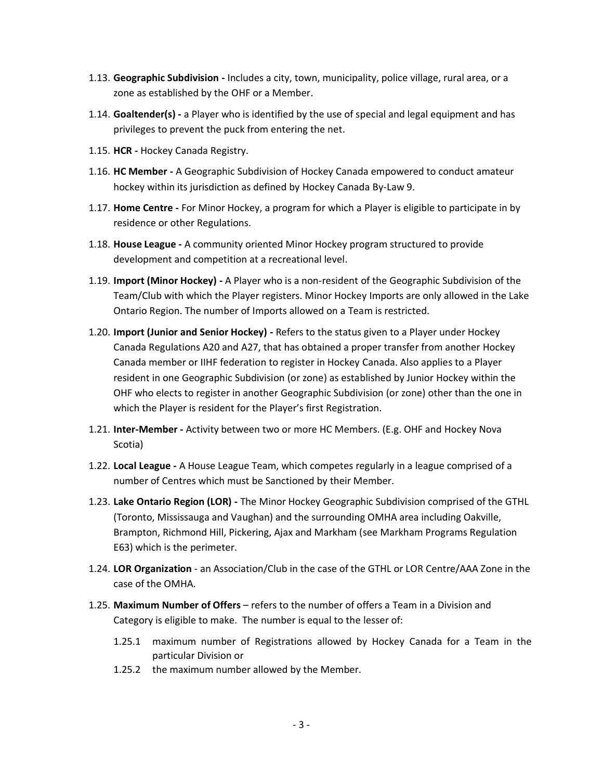- 1.13. **Geographic Subdivision -** Includes a city, town, municipality, police village, rural area, or a zone as established by the OHF or a Member.
- 1.14. **Goaltender(s) -** a Player who is identified by the use of special and legal equipment and has privileges to prevent the puck from entering the net.
- 1.15. **HCR -** Hockey Canada Registry.
- 1.16. **HC Member -** A Geographic Subdivision of Hockey Canada empowered to conduct amateur hockey within its jurisdiction as defined by Hockey Canada By-Law 9.
- 1.17. **Home Centre -** For Minor Hockey, a program for which a Player is eligible to participate in by residence or other Regulations.
- 1.18. **House League -** A community oriented Minor Hockey program structured to provide development and competition at a recreational level.
- 1.19. **Import (Minor Hockey) -** A Player who is a non-resident of the Geographic Subdivision of the Team/Club with which the Player registers. Minor Hockey Imports are only allowed in the Lake Ontario Region. The number of Imports allowed on a Team is restricted.
- 1.20. **Import (Junior and Senior Hockey) -** Refers to the status given to a Player under Hockey Canada Regulations A20 and A27, that has obtained a proper transfer from another Hockey Canada member or IIHF federation to register in Hockey Canada. Also applies to a Player resident in one Geographic Subdivision (or zone) as established by Junior Hockey within the OHF who elects to register in another Geographic Subdivision (or zone) other than the one in which the Player is resident for the Player's first Registration.
- 1.21. **Inter-Member -** Activity between two or more HC Members. (E.g. OHF and Hockey Nova Scotia)
- 1.22. **Local League -** A House League Team, which competes regularly in a league comprised of a number of Centres which must be Sanctioned by their Member.
- 1.23. **Lake Ontario Region (LOR) -** The Minor Hockey Geographic Subdivision comprised of the GTHL (Toronto, Mississauga and Vaughan) and the surrounding OMHA area including Oakville, Brampton, Richmond Hill, Pickering, Ajax and Markham (see Markham Programs Regulation E63) which is the perimeter.
- 1.24. **LOR Organization** an Association/Club in the case of the GTHL or LOR Centre/AAA Zone in the case of the OMHA.
- 1.25. **Maximum Number of Offers** refers to the number of offers a Team in a Division and Category is eligible to make. The number is equal to the lesser of:
	- 1.25.1 maximum number of Registrations allowed by Hockey Canada for a Team in the particular Division or
	- 1.25.2 the maximum number allowed by the Member.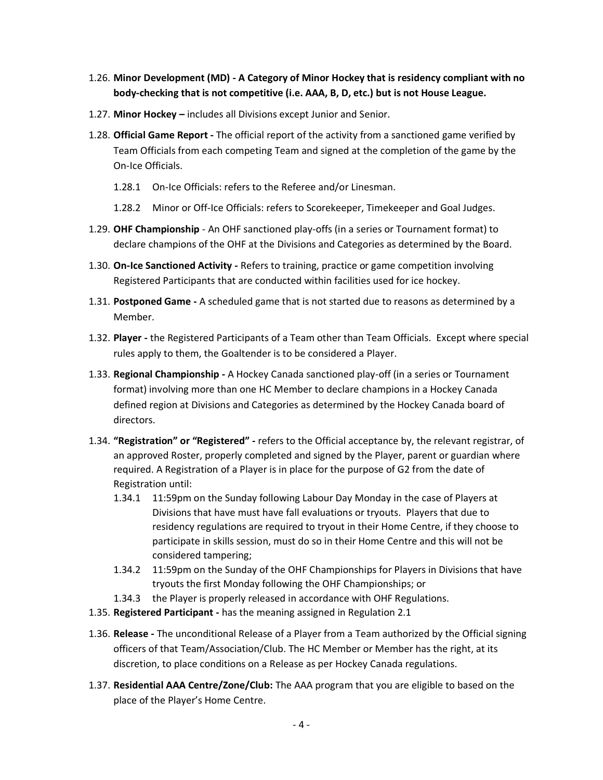- 1.26. **Minor Development (MD) - A Category of Minor Hockey that is residency compliant with no body-checking that is not competitive (i.e. AAA, B, D, etc.) but is not House League.**
- 1.27. **Minor Hockey –** includes all Divisions except Junior and Senior.
- 1.28. **Official Game Report -** The official report of the activity from a sanctioned game verified by Team Officials from each competing Team and signed at the completion of the game by the On-Ice Officials.
	- 1.28.1 On-Ice Officials: refers to the Referee and/or Linesman.
	- 1.28.2 Minor or Off-Ice Officials: refers to Scorekeeper, Timekeeper and Goal Judges.
- 1.29. **OHF Championship** An OHF sanctioned play-offs (in a series or Tournament format) to declare champions of the OHF at the Divisions and Categories as determined by the Board.
- 1.30. **On-Ice Sanctioned Activity -** Refers to training, practice or game competition involving Registered Participants that are conducted within facilities used for ice hockey.
- 1.31. **Postponed Game -** A scheduled game that is not started due to reasons as determined by a Member.
- 1.32. **Player -** the Registered Participants of a Team other than Team Officials. Except where special rules apply to them, the Goaltender is to be considered a Player.
- 1.33. **Regional Championship -** A Hockey Canada sanctioned play-off (in a series or Tournament format) involving more than one HC Member to declare champions in a Hockey Canada defined region at Divisions and Categories as determined by the Hockey Canada board of directors.
- 1.34. **"Registration" or "Registered" -** refers to the Official acceptance by, the relevant registrar, of an approved Roster, properly completed and signed by the Player, parent or guardian where required. A Registration of a Player is in place for the purpose of G2 from the date of Registration until:
	- 1.34.1 11:59pm on the Sunday following Labour Day Monday in the case of Players at Divisions that have must have fall evaluations or tryouts. Players that due to residency regulations are required to tryout in their Home Centre, if they choose to participate in skills session, must do so in their Home Centre and this will not be considered tampering;
	- 1.34.2 11:59pm on the Sunday of the OHF Championships for Players in Divisions that have tryouts the first Monday following the OHF Championships; or
	- 1.34.3 the Player is properly released in accordance with OHF Regulations.
- 1.35. **Registered Participant -** has the meaning assigned in Regulation 2.1
- 1.36. **Release -** The unconditional Release of a Player from a Team authorized by the Official signing officers of that Team/Association/Club. The HC Member or Member has the right, at its discretion, to place conditions on a Release as per Hockey Canada regulations.
- 1.37. **Residential AAA Centre/Zone/Club:** The AAA program that you are eligible to based on the place of the Player's Home Centre.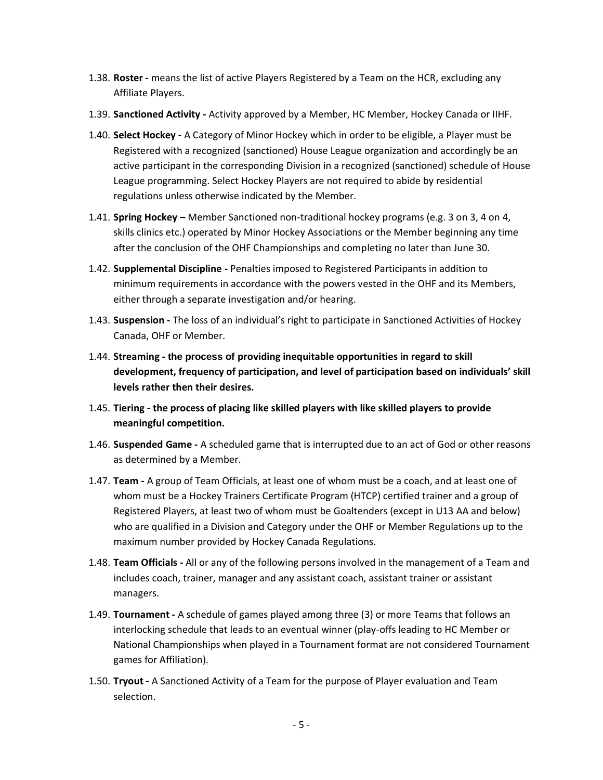- 1.38. **Roster -** means the list of active Players Registered by a Team on the HCR, excluding any Affiliate Players.
- 1.39. **Sanctioned Activity -** Activity approved by a Member, HC Member, Hockey Canada or IIHF.
- 1.40. **Select Hockey -** A Category of Minor Hockey which in order to be eligible, a Player must be Registered with a recognized (sanctioned) House League organization and accordingly be an active participant in the corresponding Division in a recognized (sanctioned) schedule of House League programming. Select Hockey Players are not required to abide by residential regulations unless otherwise indicated by the Member.
- 1.41. **Spring Hockey –** Member Sanctioned non-traditional hockey programs (e.g. 3 on 3, 4 on 4, skills clinics etc.) operated by Minor Hockey Associations or the Member beginning any time after the conclusion of the OHF Championships and completing no later than June 30.
- 1.42. **Supplemental Discipline -** Penalties imposed to Registered Participants in addition to minimum requirements in accordance with the powers vested in the OHF and its Members, either through a separate investigation and/or hearing.
- 1.43. **Suspension -** The loss of an individual's right to participate in Sanctioned Activities of Hockey Canada, OHF or Member.
- 1.44. **Streaming - the process of providing inequitable opportunities in regard to skill development, frequency of participation, and level of participation based on individuals' skill levels rather then their desires.**
- 1.45. **Tiering - the process of placing like skilled players with like skilled players to provide meaningful competition.**
- 1.46. **Suspended Game -** A scheduled game that is interrupted due to an act of God or other reasons as determined by a Member.
- 1.47. **Team -** A group of Team Officials, at least one of whom must be a coach, and at least one of whom must be a Hockey Trainers Certificate Program (HTCP) certified trainer and a group of Registered Players, at least two of whom must be Goaltenders (except in U13 AA and below) who are qualified in a Division and Category under the OHF or Member Regulations up to the maximum number provided by Hockey Canada Regulations.
- 1.48. **Team Officials -** All or any of the following persons involved in the management of a Team and includes coach, trainer, manager and any assistant coach, assistant trainer or assistant managers.
- 1.49. **Tournament -** A schedule of games played among three (3) or more Teams that follows an interlocking schedule that leads to an eventual winner (play-offs leading to HC Member or National Championships when played in a Tournament format are not considered Tournament games for Affiliation).
- 1.50. **Tryout -** A Sanctioned Activity of a Team for the purpose of Player evaluation and Team selection.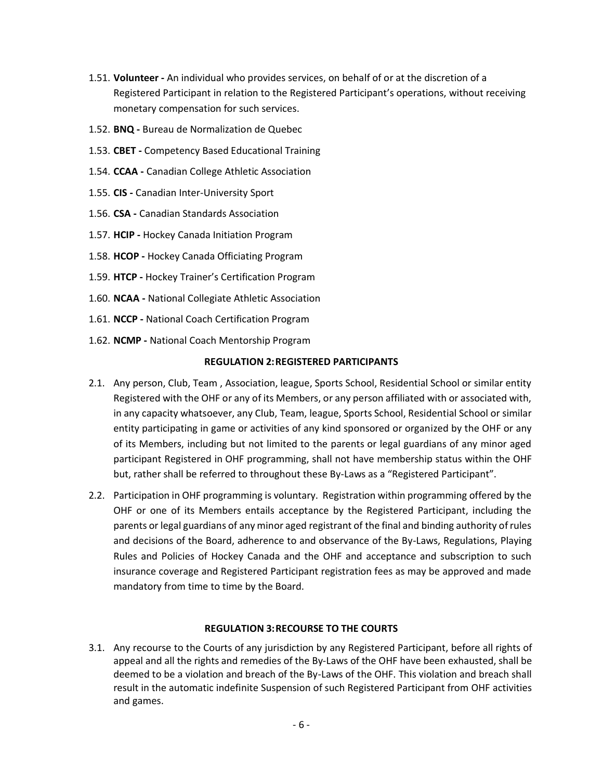- 1.51. **Volunteer -** An individual who provides services, on behalf of or at the discretion of a Registered Participant in relation to the Registered Participant's operations, without receiving monetary compensation for such services.
- 1.52. **BNQ -** Bureau de Normalization de Quebec
- 1.53. **CBET -** Competency Based Educational Training
- 1.54. **CCAA -** Canadian College Athletic Association
- 1.55. **CIS -** Canadian Inter-University Sport
- 1.56. **CSA -** Canadian Standards Association
- 1.57. **HCIP -** Hockey Canada Initiation Program
- 1.58. **HCOP -** Hockey Canada Officiating Program
- 1.59. **HTCP -** Hockey Trainer's Certification Program
- 1.60. **NCAA -** National Collegiate Athletic Association
- 1.61. **NCCP -** National Coach Certification Program
- 1.62. **NCMP -** National Coach Mentorship Program

#### **REGULATION 2:REGISTERED PARTICIPANTS**

- 2.1. Any person, Club, Team , Association, league, Sports School, Residential School or similar entity Registered with the OHF or any of its Members, or any person affiliated with or associated with, in any capacity whatsoever, any Club, Team, league, Sports School, Residential School or similar entity participating in game or activities of any kind sponsored or organized by the OHF or any of its Members, including but not limited to the parents or legal guardians of any minor aged participant Registered in OHF programming, shall not have membership status within the OHF but, rather shall be referred to throughout these By-Laws as a "Registered Participant".
- 2.2. Participation in OHF programming is voluntary. Registration within programming offered by the OHF or one of its Members entails acceptance by the Registered Participant, including the parents or legal guardians of any minor aged registrant of the final and binding authority of rules and decisions of the Board, adherence to and observance of the By-Laws, Regulations, Playing Rules and Policies of Hockey Canada and the OHF and acceptance and subscription to such insurance coverage and Registered Participant registration fees as may be approved and made mandatory from time to time by the Board.

#### **REGULATION 3:RECOURSE TO THE COURTS**

3.1. Any recourse to the Courts of any jurisdiction by any Registered Participant, before all rights of appeal and all the rights and remedies of the By-Laws of the OHF have been exhausted, shall be deemed to be a violation and breach of the By-Laws of the OHF. This violation and breach shall result in the automatic indefinite Suspension of such Registered Participant from OHF activities and games.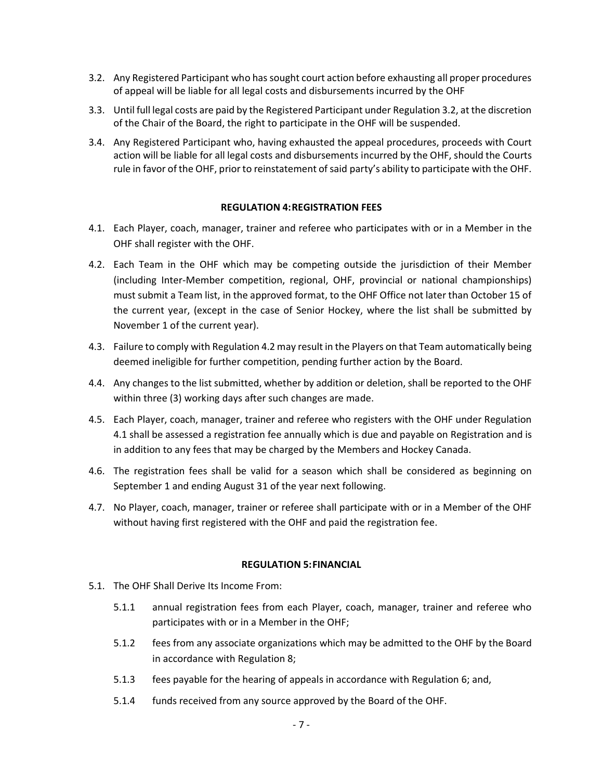- 3.2. Any Registered Participant who has sought court action before exhausting all proper procedures of appeal will be liable for all legal costs and disbursements incurred by the OHF
- 3.3. Until full legal costs are paid by the Registered Participant under Regulation 3.2, at the discretion of the Chair of the Board, the right to participate in the OHF will be suspended.
- 3.4. Any Registered Participant who, having exhausted the appeal procedures, proceeds with Court action will be liable for all legal costs and disbursements incurred by the OHF, should the Courts rule in favor of the OHF, prior to reinstatement of said party's ability to participate with the OHF.

## **REGULATION 4:REGISTRATION FEES**

- 4.1. Each Player, coach, manager, trainer and referee who participates with or in a Member in the OHF shall register with the OHF.
- 4.2. Each Team in the OHF which may be competing outside the jurisdiction of their Member (including Inter-Member competition, regional, OHF, provincial or national championships) must submit a Team list, in the approved format, to the OHF Office not later than October 15 of the current year, (except in the case of Senior Hockey, where the list shall be submitted by November 1 of the current year).
- 4.3. Failure to comply with Regulation 4.2 may result in the Players on that Team automatically being deemed ineligible for further competition, pending further action by the Board.
- 4.4. Any changes to the list submitted, whether by addition or deletion, shall be reported to the OHF within three (3) working days after such changes are made.
- 4.5. Each Player, coach, manager, trainer and referee who registers with the OHF under Regulation 4.1 shall be assessed a registration fee annually which is due and payable on Registration and is in addition to any fees that may be charged by the Members and Hockey Canada.
- 4.6. The registration fees shall be valid for a season which shall be considered as beginning on September 1 and ending August 31 of the year next following.
- 4.7. No Player, coach, manager, trainer or referee shall participate with or in a Member of the OHF without having first registered with the OHF and paid the registration fee.

#### **REGULATION 5:FINANCIAL**

- 5.1. The OHF Shall Derive Its Income From:
	- 5.1.1 annual registration fees from each Player, coach, manager, trainer and referee who participates with or in a Member in the OHF;
	- 5.1.2 fees from any associate organizations which may be admitted to the OHF by the Board in accordance with Regulation 8;
	- 5.1.3 fees payable for the hearing of appeals in accordance with Regulation 6; and,
	- 5.1.4 funds received from any source approved by the Board of the OHF.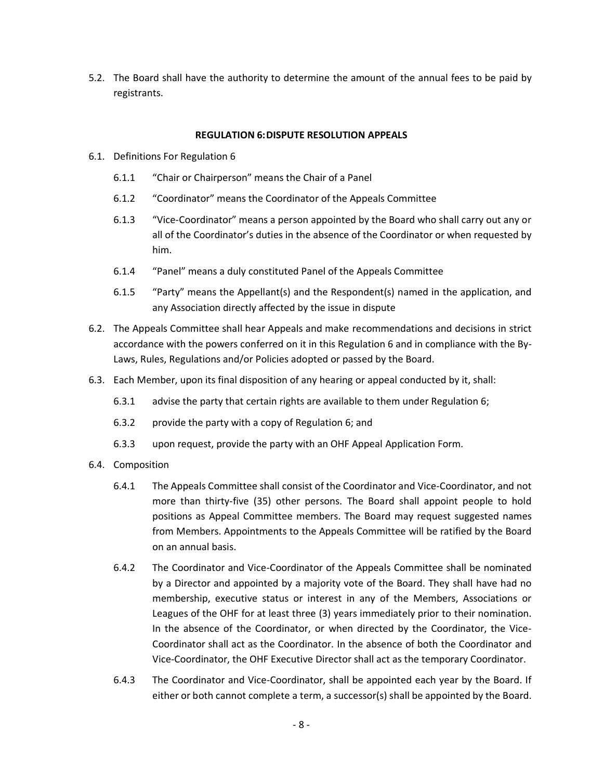5.2. The Board shall have the authority to determine the amount of the annual fees to be paid by registrants.

## **REGULATION 6:DISPUTE RESOLUTION APPEALS**

- 6.1. Definitions For Regulation 6
	- 6.1.1 "Chair or Chairperson" means the Chair of a Panel
	- 6.1.2 "Coordinator" means the Coordinator of the Appeals Committee
	- 6.1.3 "Vice-Coordinator" means a person appointed by the Board who shall carry out any or all of the Coordinator's duties in the absence of the Coordinator or when requested by him.
	- 6.1.4 "Panel" means a duly constituted Panel of the Appeals Committee
	- 6.1.5 "Party" means the Appellant(s) and the Respondent(s) named in the application, and any Association directly affected by the issue in dispute
- 6.2. The Appeals Committee shall hear Appeals and make recommendations and decisions in strict accordance with the powers conferred on it in this Regulation 6 and in compliance with the By-Laws, Rules, Regulations and/or Policies adopted or passed by the Board.
- 6.3. Each Member, upon its final disposition of any hearing or appeal conducted by it, shall:
	- 6.3.1 advise the party that certain rights are available to them under Regulation 6;
	- 6.3.2 provide the party with a copy of Regulation 6; and
	- 6.3.3 upon request, provide the party with an OHF Appeal Application Form.
- 6.4. Composition
	- 6.4.1 The Appeals Committee shall consist of the Coordinator and Vice-Coordinator, and not more than thirty-five (35) other persons. The Board shall appoint people to hold positions as Appeal Committee members. The Board may request suggested names from Members. Appointments to the Appeals Committee will be ratified by the Board on an annual basis.
	- 6.4.2 The Coordinator and Vice-Coordinator of the Appeals Committee shall be nominated by a Director and appointed by a majority vote of the Board. They shall have had no membership, executive status or interest in any of the Members, Associations or Leagues of the OHF for at least three (3) years immediately prior to their nomination. In the absence of the Coordinator, or when directed by the Coordinator, the Vice-Coordinator shall act as the Coordinator. In the absence of both the Coordinator and Vice-Coordinator, the OHF Executive Director shall act as the temporary Coordinator.
	- 6.4.3 The Coordinator and Vice-Coordinator, shall be appointed each year by the Board. If either or both cannot complete a term, a successor(s) shall be appointed by the Board.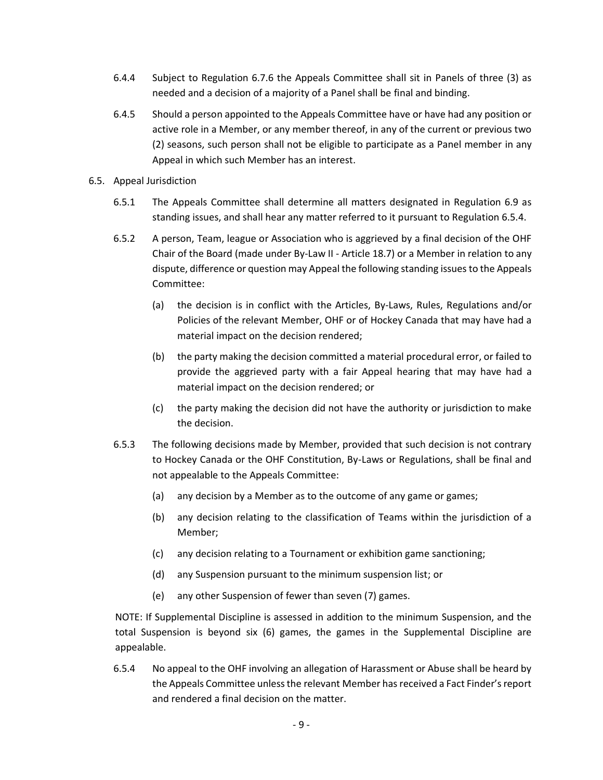- 6.4.4 Subject to Regulation 6.7.6 the Appeals Committee shall sit in Panels of three (3) as needed and a decision of a majority of a Panel shall be final and binding.
- 6.4.5 Should a person appointed to the Appeals Committee have or have had any position or active role in a Member, or any member thereof, in any of the current or previous two (2) seasons, such person shall not be eligible to participate as a Panel member in any Appeal in which such Member has an interest.
- 6.5. Appeal Jurisdiction
	- 6.5.1 The Appeals Committee shall determine all matters designated in Regulation 6.9 as standing issues, and shall hear any matter referred to it pursuant to Regulation 6.5.4.
	- 6.5.2 A person, Team, league or Association who is aggrieved by a final decision of the OHF Chair of the Board (made under By-Law II - Article 18.7) or a Member in relation to any dispute, difference or question may Appeal the following standing issuesto the Appeals Committee:
		- (a) the decision is in conflict with the Articles, By-Laws, Rules, Regulations and/or Policies of the relevant Member, OHF or of Hockey Canada that may have had a material impact on the decision rendered;
		- (b) the party making the decision committed a material procedural error, or failed to provide the aggrieved party with a fair Appeal hearing that may have had a material impact on the decision rendered; or
		- (c) the party making the decision did not have the authority or jurisdiction to make the decision.
	- 6.5.3 The following decisions made by Member, provided that such decision is not contrary to Hockey Canada or the OHF Constitution, By-Laws or Regulations, shall be final and not appealable to the Appeals Committee:
		- (a) any decision by a Member as to the outcome of any game or games;
		- (b) any decision relating to the classification of Teams within the jurisdiction of a Member;
		- (c) any decision relating to a Tournament or exhibition game sanctioning;
		- (d) any Suspension pursuant to the minimum suspension list; or
		- (e) any other Suspension of fewer than seven (7) games.

NOTE: If Supplemental Discipline is assessed in addition to the minimum Suspension, and the total Suspension is beyond six (6) games, the games in the Supplemental Discipline are appealable.

6.5.4 No appeal to the OHF involving an allegation of Harassment or Abuse shall be heard by the Appeals Committee unless the relevant Member has received a Fact Finder's report and rendered a final decision on the matter.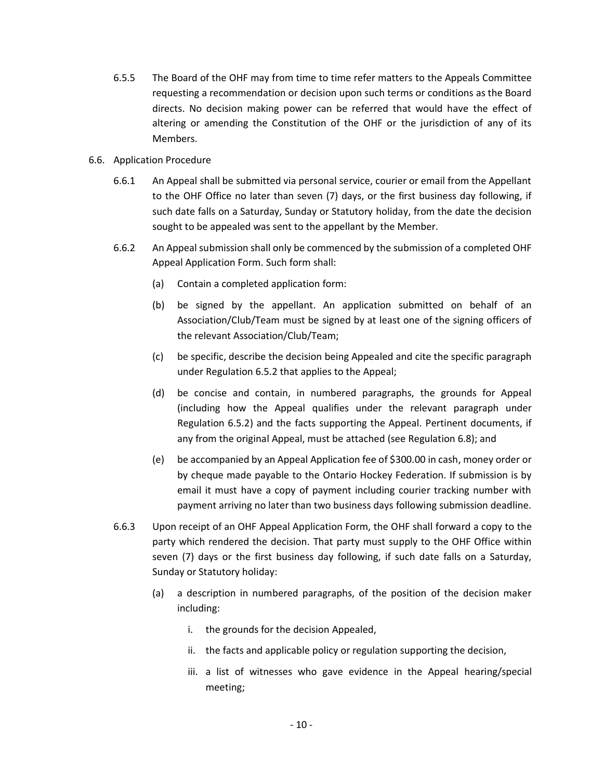- 6.5.5 The Board of the OHF may from time to time refer matters to the Appeals Committee requesting a recommendation or decision upon such terms or conditions as the Board directs. No decision making power can be referred that would have the effect of altering or amending the Constitution of the OHF or the jurisdiction of any of its Members.
- 6.6. Application Procedure
	- 6.6.1 An Appeal shall be submitted via personal service, courier or email from the Appellant to the OHF Office no later than seven (7) days, or the first business day following, if such date falls on a Saturday, Sunday or Statutory holiday, from the date the decision sought to be appealed was sent to the appellant by the Member.
	- 6.6.2 An Appeal submission shall only be commenced by the submission of a completed OHF Appeal Application Form. Such form shall:
		- (a) Contain a completed application form:
		- (b) be signed by the appellant. An application submitted on behalf of an Association/Club/Team must be signed by at least one of the signing officers of the relevant Association/Club/Team;
		- (c) be specific, describe the decision being Appealed and cite the specific paragraph under Regulation 6.5.2 that applies to the Appeal;
		- (d) be concise and contain, in numbered paragraphs, the grounds for Appeal (including how the Appeal qualifies under the relevant paragraph under Regulation 6.5.2) and the facts supporting the Appeal. Pertinent documents, if any from the original Appeal, must be attached (see Regulation 6.8); and
		- (e) be accompanied by an Appeal Application fee of \$300.00 in cash, money order or by cheque made payable to the Ontario Hockey Federation. If submission is by email it must have a copy of payment including courier tracking number with payment arriving no later than two business days following submission deadline.
	- 6.6.3 Upon receipt of an OHF Appeal Application Form, the OHF shall forward a copy to the party which rendered the decision. That party must supply to the OHF Office within seven (7) days or the first business day following, if such date falls on a Saturday, Sunday or Statutory holiday:
		- (a) a description in numbered paragraphs, of the position of the decision maker including:
			- i. the grounds for the decision Appealed,
			- ii. the facts and applicable policy or regulation supporting the decision,
			- iii. a list of witnesses who gave evidence in the Appeal hearing/special meeting;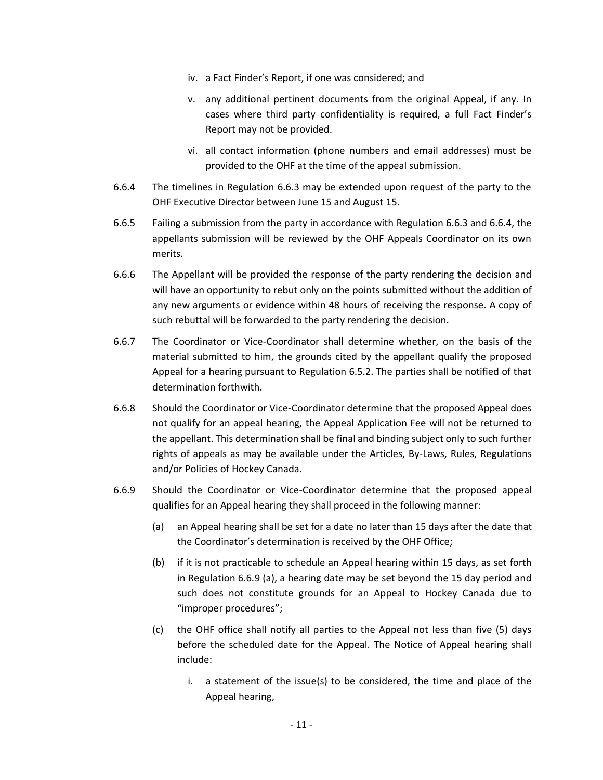- iv. a Fact Finder's Report, if one was considered; and
- v. any additional pertinent documents from the original Appeal, if any. In cases where third party confidentiality is required, a full Fact Finder's Report may not be provided.
- vi. all contact information (phone numbers and email addresses) must be provided to the OHF at the time of the appeal submission.
- 6.6.4 The timelines in Regulation 6.6.3 may be extended upon request of the party to the OHF Executive Director between June 15 and August 15.
- 6.6.5 Failing a submission from the party in accordance with Regulation 6.6.3 and 6.6.4, the appellants submission will be reviewed by the OHF Appeals Coordinator on its own merits.
- 6.6.6 The Appellant will be provided the response of the party rendering the decision and will have an opportunity to rebut only on the points submitted without the addition of any new arguments or evidence within 48 hours of receiving the response. A copy of such rebuttal will be forwarded to the party rendering the decision.
- 6.6.7 The Coordinator or Vice-Coordinator shall determine whether, on the basis of the material submitted to him, the grounds cited by the appellant qualify the proposed Appeal for a hearing pursuant to Regulation 6.5.2. The parties shall be notified of that determination forthwith.
- 6.6.8 Should the Coordinator or Vice-Coordinator determine that the proposed Appeal does not qualify for an appeal hearing, the Appeal Application Fee will not be returned to the appellant. This determination shall be final and binding subject only to such further rights of appeals as may be available under the Articles, By-Laws, Rules, Regulations and/or Policies of Hockey Canada.
- 6.6.9 Should the Coordinator or Vice-Coordinator determine that the proposed appeal qualifies for an Appeal hearing they shall proceed in the following manner:
	- (a) an Appeal hearing shall be set for a date no later than 15 days after the date that the Coordinator's determination is received by the OHF Office;
	- (b) if it is not practicable to schedule an Appeal hearing within 15 days, as set forth in Regulation 6.6.9 (a), a hearing date may be set beyond the 15 day period and such does not constitute grounds for an Appeal to Hockey Canada due to "improper procedures";
	- (c) the OHF office shall notify all parties to the Appeal not less than five (5) days before the scheduled date for the Appeal. The Notice of Appeal hearing shall include:
		- i. a statement of the issue(s) to be considered, the time and place of the Appeal hearing,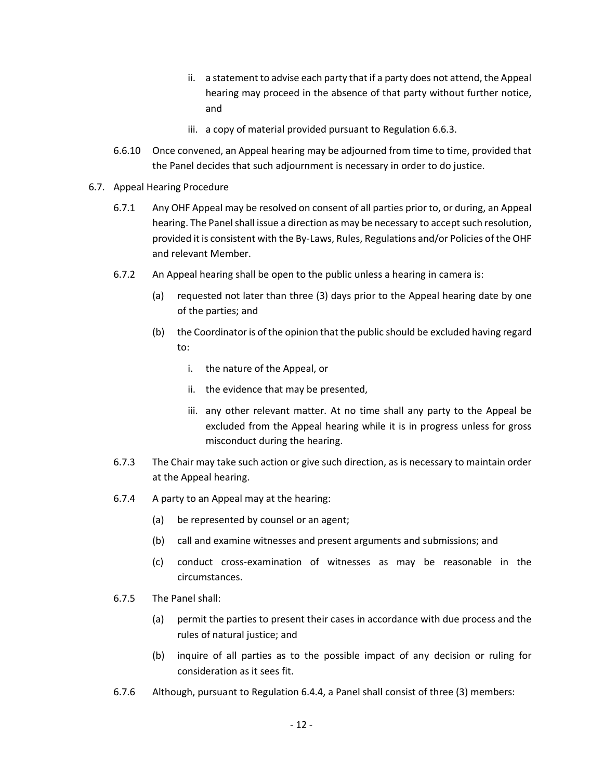- ii. a statement to advise each party that if a party does not attend, the Appeal hearing may proceed in the absence of that party without further notice, and
- iii. a copy of material provided pursuant to Regulation 6.6.3.
- 6.6.10 Once convened, an Appeal hearing may be adjourned from time to time, provided that the Panel decides that such adjournment is necessary in order to do justice.
- 6.7. Appeal Hearing Procedure
	- 6.7.1 Any OHF Appeal may be resolved on consent of all parties prior to, or during, an Appeal hearing. The Panel shall issue a direction as may be necessary to accept such resolution, provided it is consistent with the By-Laws, Rules, Regulations and/or Policies of the OHF and relevant Member.
	- 6.7.2 An Appeal hearing shall be open to the public unless a hearing in camera is:
		- (a) requested not later than three (3) days prior to the Appeal hearing date by one of the parties; and
		- (b) the Coordinator is of the opinion that the public should be excluded having regard to:
			- i. the nature of the Appeal, or
			- ii. the evidence that may be presented,
			- iii. any other relevant matter. At no time shall any party to the Appeal be excluded from the Appeal hearing while it is in progress unless for gross misconduct during the hearing.
	- 6.7.3 The Chair may take such action or give such direction, as is necessary to maintain order at the Appeal hearing.
	- 6.7.4 A party to an Appeal may at the hearing:
		- (a) be represented by counsel or an agent;
		- (b) call and examine witnesses and present arguments and submissions; and
		- (c) conduct cross-examination of witnesses as may be reasonable in the circumstances.
	- 6.7.5 The Panel shall:
		- (a) permit the parties to present their cases in accordance with due process and the rules of natural justice; and
		- (b) inquire of all parties as to the possible impact of any decision or ruling for consideration as it sees fit.
	- 6.7.6 Although, pursuant to Regulation 6.4.4, a Panel shall consist of three (3) members: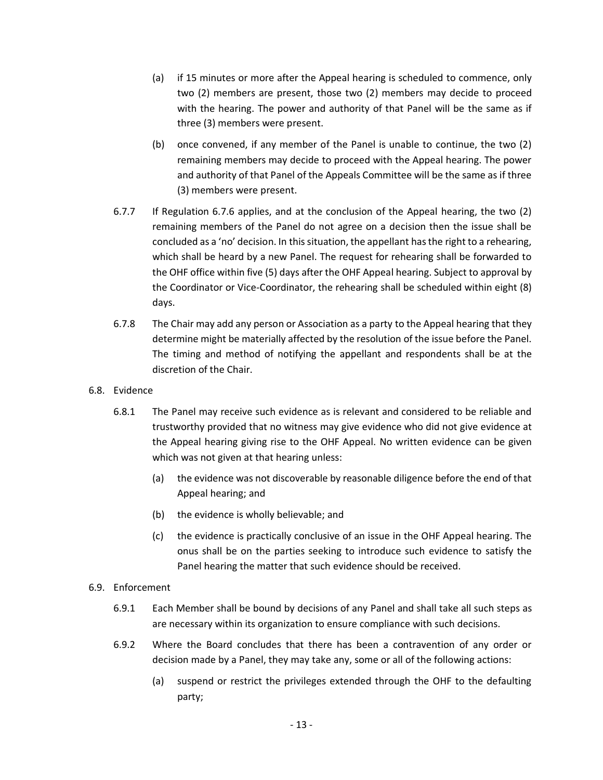- (a) if 15 minutes or more after the Appeal hearing is scheduled to commence, only two (2) members are present, those two (2) members may decide to proceed with the hearing. The power and authority of that Panel will be the same as if three (3) members were present.
- (b) once convened, if any member of the Panel is unable to continue, the two (2) remaining members may decide to proceed with the Appeal hearing. The power and authority of that Panel of the Appeals Committee will be the same as if three (3) members were present.
- 6.7.7 If Regulation 6.7.6 applies, and at the conclusion of the Appeal hearing, the two (2) remaining members of the Panel do not agree on a decision then the issue shall be concluded as a 'no' decision. In this situation, the appellant has the right to a rehearing, which shall be heard by a new Panel. The request for rehearing shall be forwarded to the OHF office within five (5) days after the OHF Appeal hearing. Subject to approval by the Coordinator or Vice-Coordinator, the rehearing shall be scheduled within eight (8) days.
- 6.7.8 The Chair may add any person or Association as a party to the Appeal hearing that they determine might be materially affected by the resolution of the issue before the Panel. The timing and method of notifying the appellant and respondents shall be at the discretion of the Chair.
- 6.8. Evidence
	- 6.8.1 The Panel may receive such evidence as is relevant and considered to be reliable and trustworthy provided that no witness may give evidence who did not give evidence at the Appeal hearing giving rise to the OHF Appeal. No written evidence can be given which was not given at that hearing unless:
		- (a) the evidence was not discoverable by reasonable diligence before the end of that Appeal hearing; and
		- (b) the evidence is wholly believable; and
		- (c) the evidence is practically conclusive of an issue in the OHF Appeal hearing. The onus shall be on the parties seeking to introduce such evidence to satisfy the Panel hearing the matter that such evidence should be received.
- 6.9. Enforcement
	- 6.9.1 Each Member shall be bound by decisions of any Panel and shall take all such steps as are necessary within its organization to ensure compliance with such decisions.
	- 6.9.2 Where the Board concludes that there has been a contravention of any order or decision made by a Panel, they may take any, some or all of the following actions:
		- (a) suspend or restrict the privileges extended through the OHF to the defaulting party;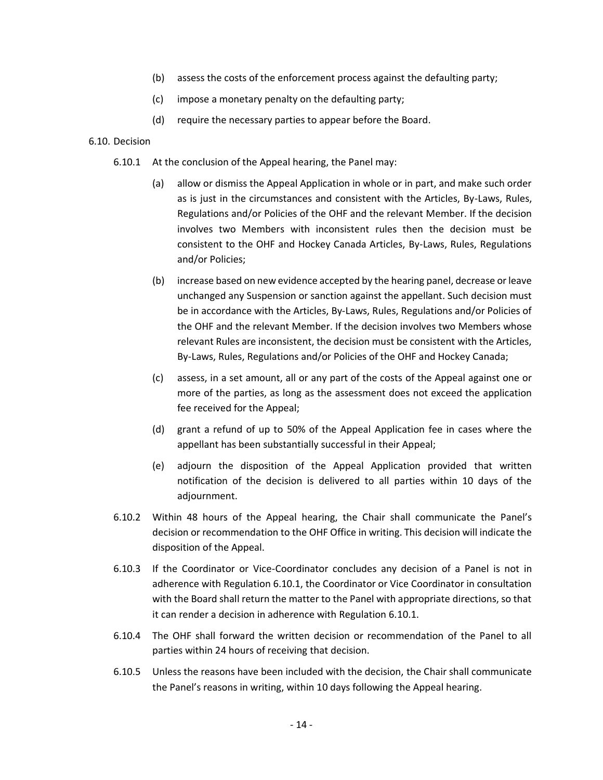- (b) assess the costs of the enforcement process against the defaulting party;
- (c) impose a monetary penalty on the defaulting party;
- (d) require the necessary parties to appear before the Board.

#### 6.10. Decision

- 6.10.1 At the conclusion of the Appeal hearing, the Panel may:
	- (a) allow or dismiss the Appeal Application in whole or in part, and make such order as is just in the circumstances and consistent with the Articles, By-Laws, Rules, Regulations and/or Policies of the OHF and the relevant Member. If the decision involves two Members with inconsistent rules then the decision must be consistent to the OHF and Hockey Canada Articles, By-Laws, Rules, Regulations and/or Policies;
	- (b) increase based on new evidence accepted by the hearing panel, decrease or leave unchanged any Suspension or sanction against the appellant. Such decision must be in accordance with the Articles, By-Laws, Rules, Regulations and/or Policies of the OHF and the relevant Member. If the decision involves two Members whose relevant Rules are inconsistent, the decision must be consistent with the Articles, By-Laws, Rules, Regulations and/or Policies of the OHF and Hockey Canada;
	- (c) assess, in a set amount, all or any part of the costs of the Appeal against one or more of the parties, as long as the assessment does not exceed the application fee received for the Appeal;
	- (d) grant a refund of up to 50% of the Appeal Application fee in cases where the appellant has been substantially successful in their Appeal;
	- (e) adjourn the disposition of the Appeal Application provided that written notification of the decision is delivered to all parties within 10 days of the adjournment.
- 6.10.2 Within 48 hours of the Appeal hearing, the Chair shall communicate the Panel's decision or recommendation to the OHF Office in writing. This decision will indicate the disposition of the Appeal.
- 6.10.3 If the Coordinator or Vice-Coordinator concludes any decision of a Panel is not in adherence with Regulation 6.10.1, the Coordinator or Vice Coordinator in consultation with the Board shall return the matter to the Panel with appropriate directions, so that it can render a decision in adherence with Regulation 6.10.1.
- 6.10.4 The OHF shall forward the written decision or recommendation of the Panel to all parties within 24 hours of receiving that decision.
- 6.10.5 Unless the reasons have been included with the decision, the Chair shall communicate the Panel's reasons in writing, within 10 days following the Appeal hearing.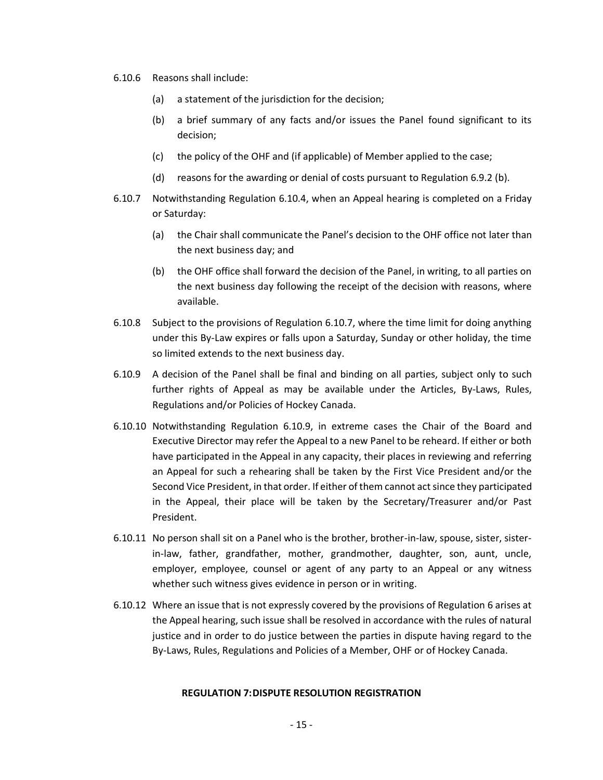- 6.10.6 Reasons shall include:
	- (a) a statement of the jurisdiction for the decision;
	- (b) a brief summary of any facts and/or issues the Panel found significant to its decision;
	- (c) the policy of the OHF and (if applicable) of Member applied to the case;
	- (d) reasons for the awarding or denial of costs pursuant to Regulation 6.9.2 (b).
- 6.10.7 Notwithstanding Regulation 6.10.4, when an Appeal hearing is completed on a Friday or Saturday:
	- (a) the Chair shall communicate the Panel's decision to the OHF office not later than the next business day; and
	- (b) the OHF office shall forward the decision of the Panel, in writing, to all parties on the next business day following the receipt of the decision with reasons, where available.
- 6.10.8 Subject to the provisions of Regulation 6.10.7, where the time limit for doing anything under this By-Law expires or falls upon a Saturday, Sunday or other holiday, the time so limited extends to the next business day.
- 6.10.9 A decision of the Panel shall be final and binding on all parties, subject only to such further rights of Appeal as may be available under the Articles, By-Laws, Rules, Regulations and/or Policies of Hockey Canada.
- 6.10.10 Notwithstanding Regulation 6.10.9, in extreme cases the Chair of the Board and Executive Director may refer the Appeal to a new Panel to be reheard. If either or both have participated in the Appeal in any capacity, their places in reviewing and referring an Appeal for such a rehearing shall be taken by the First Vice President and/or the Second Vice President, in that order. If either of them cannot act since they participated in the Appeal, their place will be taken by the Secretary/Treasurer and/or Past President.
- 6.10.11 No person shall sit on a Panel who is the brother, brother-in-law, spouse, sister, sisterin-law, father, grandfather, mother, grandmother, daughter, son, aunt, uncle, employer, employee, counsel or agent of any party to an Appeal or any witness whether such witness gives evidence in person or in writing.
- 6.10.12 Where an issue that is not expressly covered by the provisions of Regulation 6 arises at the Appeal hearing, such issue shall be resolved in accordance with the rules of natural justice and in order to do justice between the parties in dispute having regard to the By-Laws, Rules, Regulations and Policies of a Member, OHF or of Hockey Canada.

# **REGULATION 7:DISPUTE RESOLUTION REGISTRATION**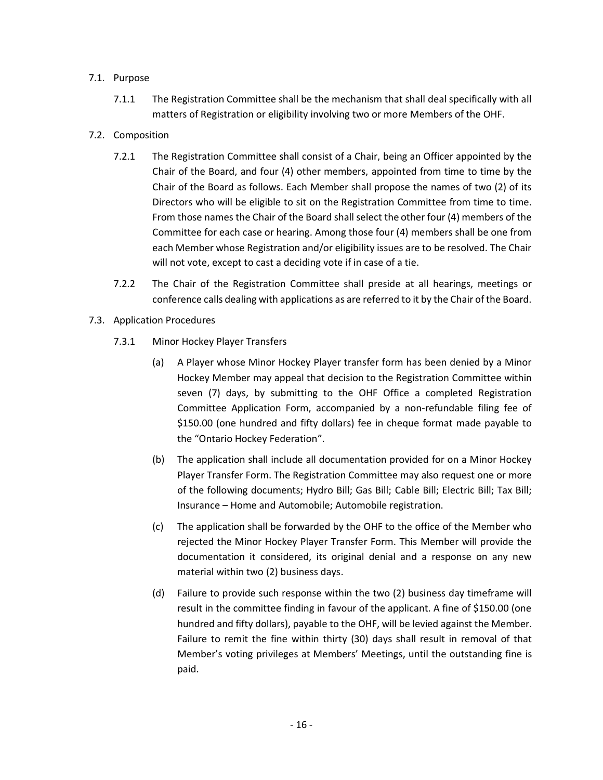# 7.1. Purpose

- 7.1.1 The Registration Committee shall be the mechanism that shall deal specifically with all matters of Registration or eligibility involving two or more Members of the OHF.
- 7.2. Composition
	- 7.2.1 The Registration Committee shall consist of a Chair, being an Officer appointed by the Chair of the Board, and four (4) other members, appointed from time to time by the Chair of the Board as follows. Each Member shall propose the names of two (2) of its Directors who will be eligible to sit on the Registration Committee from time to time. From those names the Chair of the Board shall select the other four (4) members of the Committee for each case or hearing. Among those four (4) members shall be one from each Member whose Registration and/or eligibility issues are to be resolved. The Chair will not vote, except to cast a deciding vote if in case of a tie.
	- 7.2.2 The Chair of the Registration Committee shall preside at all hearings, meetings or conference calls dealing with applications as are referred to it by the Chair of the Board.
- 7.3. Application Procedures
	- 7.3.1 Minor Hockey Player Transfers
		- (a) A Player whose Minor Hockey Player transfer form has been denied by a Minor Hockey Member may appeal that decision to the Registration Committee within seven (7) days, by submitting to the OHF Office a completed Registration Committee Application Form, accompanied by a non-refundable filing fee of \$150.00 (one hundred and fifty dollars) fee in cheque format made payable to the "Ontario Hockey Federation".
		- (b) The application shall include all documentation provided for on a Minor Hockey Player Transfer Form. The Registration Committee may also request one or more of the following documents; Hydro Bill; Gas Bill; Cable Bill; Electric Bill; Tax Bill; Insurance – Home and Automobile; Automobile registration.
		- (c) The application shall be forwarded by the OHF to the office of the Member who rejected the Minor Hockey Player Transfer Form. This Member will provide the documentation it considered, its original denial and a response on any new material within two (2) business days.
		- (d) Failure to provide such response within the two (2) business day timeframe will result in the committee finding in favour of the applicant. A fine of \$150.00 (one hundred and fifty dollars), payable to the OHF, will be levied against the Member. Failure to remit the fine within thirty (30) days shall result in removal of that Member's voting privileges at Members' Meetings, until the outstanding fine is paid.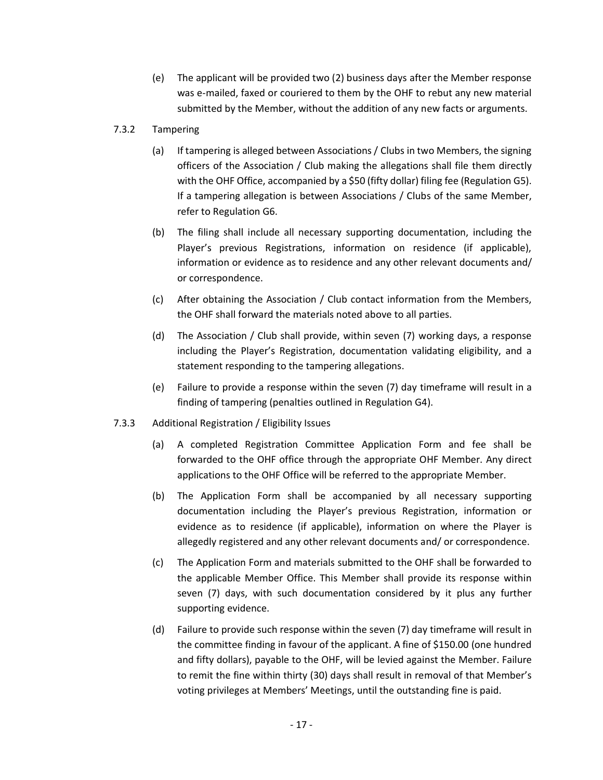(e) The applicant will be provided two (2) business days after the Member response was e-mailed, faxed or couriered to them by the OHF to rebut any new material submitted by the Member, without the addition of any new facts or arguments.

# 7.3.2 Tampering

- (a) If tampering is alleged between Associations / Clubs in two Members, the signing officers of the Association / Club making the allegations shall file them directly with the OHF Office, accompanied by a \$50 (fifty dollar) filing fee (Regulation G5). If a tampering allegation is between Associations / Clubs of the same Member, refer to Regulation G6.
- (b) The filing shall include all necessary supporting documentation, including the Player's previous Registrations, information on residence (if applicable), information or evidence as to residence and any other relevant documents and/ or correspondence.
- (c) After obtaining the Association / Club contact information from the Members, the OHF shall forward the materials noted above to all parties.
- (d) The Association / Club shall provide, within seven (7) working days, a response including the Player's Registration, documentation validating eligibility, and a statement responding to the tampering allegations.
- (e) Failure to provide a response within the seven (7) day timeframe will result in a finding of tampering (penalties outlined in Regulation G4).
- 7.3.3 Additional Registration / Eligibility Issues
	- (a) A completed Registration Committee Application Form and fee shall be forwarded to the OHF office through the appropriate OHF Member. Any direct applications to the OHF Office will be referred to the appropriate Member.
	- (b) The Application Form shall be accompanied by all necessary supporting documentation including the Player's previous Registration, information or evidence as to residence (if applicable), information on where the Player is allegedly registered and any other relevant documents and/ or correspondence.
	- (c) The Application Form and materials submitted to the OHF shall be forwarded to the applicable Member Office. This Member shall provide its response within seven (7) days, with such documentation considered by it plus any further supporting evidence.
	- (d) Failure to provide such response within the seven (7) day timeframe will result in the committee finding in favour of the applicant. A fine of \$150.00 (one hundred and fifty dollars), payable to the OHF, will be levied against the Member. Failure to remit the fine within thirty (30) days shall result in removal of that Member's voting privileges at Members' Meetings, until the outstanding fine is paid.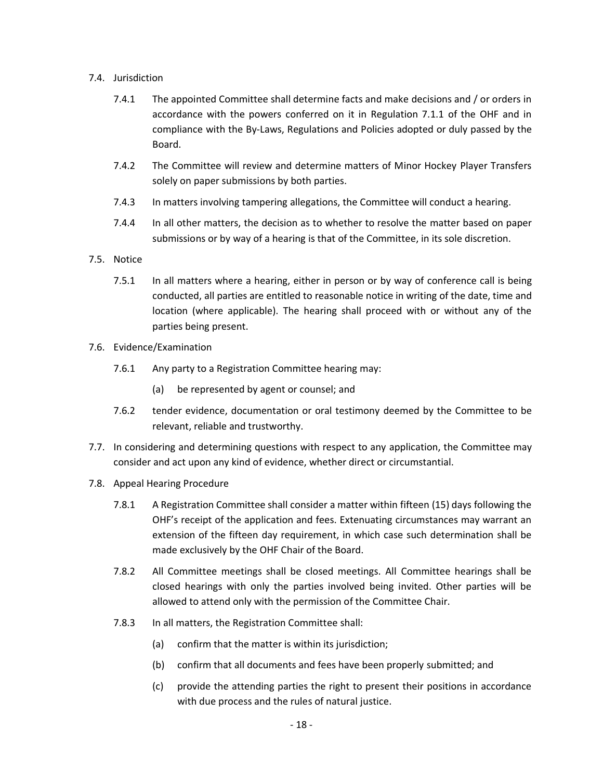# 7.4. Jurisdiction

- 7.4.1 The appointed Committee shall determine facts and make decisions and / or orders in accordance with the powers conferred on it in Regulation 7.1.1 of the OHF and in compliance with the By-Laws, Regulations and Policies adopted or duly passed by the Board.
- 7.4.2 The Committee will review and determine matters of Minor Hockey Player Transfers solely on paper submissions by both parties.
- 7.4.3 In matters involving tampering allegations, the Committee will conduct a hearing.
- 7.4.4 In all other matters, the decision as to whether to resolve the matter based on paper submissions or by way of a hearing is that of the Committee, in its sole discretion.
- 7.5. Notice
	- 7.5.1 In all matters where a hearing, either in person or by way of conference call is being conducted, all parties are entitled to reasonable notice in writing of the date, time and location (where applicable). The hearing shall proceed with or without any of the parties being present.
- 7.6. Evidence/Examination
	- 7.6.1 Any party to a Registration Committee hearing may:
		- (a) be represented by agent or counsel; and
	- 7.6.2 tender evidence, documentation or oral testimony deemed by the Committee to be relevant, reliable and trustworthy.
- 7.7. In considering and determining questions with respect to any application, the Committee may consider and act upon any kind of evidence, whether direct or circumstantial.
- 7.8. Appeal Hearing Procedure
	- 7.8.1 A Registration Committee shall consider a matter within fifteen (15) days following the OHF's receipt of the application and fees. Extenuating circumstances may warrant an extension of the fifteen day requirement, in which case such determination shall be made exclusively by the OHF Chair of the Board.
	- 7.8.2 All Committee meetings shall be closed meetings. All Committee hearings shall be closed hearings with only the parties involved being invited. Other parties will be allowed to attend only with the permission of the Committee Chair.
	- 7.8.3 In all matters, the Registration Committee shall:
		- (a) confirm that the matter is within its jurisdiction;
		- (b) confirm that all documents and fees have been properly submitted; and
		- (c) provide the attending parties the right to present their positions in accordance with due process and the rules of natural justice.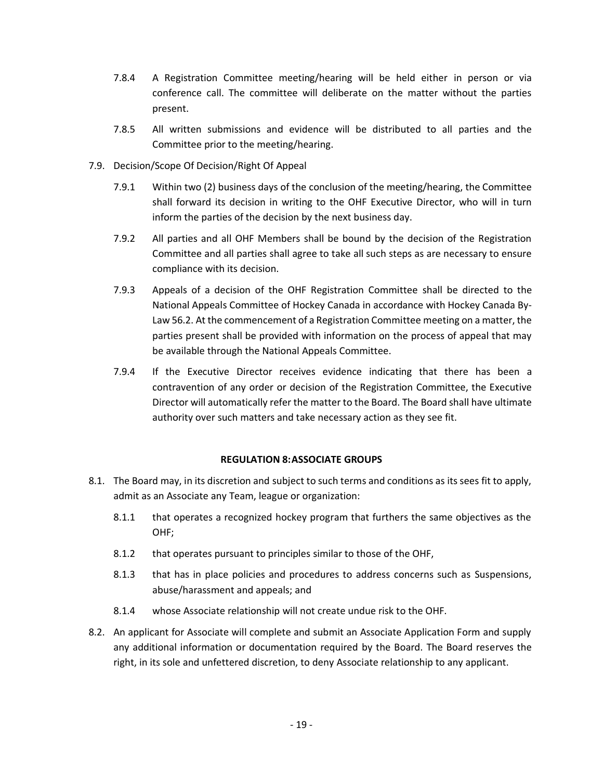- 7.8.4 A Registration Committee meeting/hearing will be held either in person or via conference call. The committee will deliberate on the matter without the parties present.
- 7.8.5 All written submissions and evidence will be distributed to all parties and the Committee prior to the meeting/hearing.
- 7.9. Decision/Scope Of Decision/Right Of Appeal
	- 7.9.1 Within two (2) business days of the conclusion of the meeting/hearing, the Committee shall forward its decision in writing to the OHF Executive Director, who will in turn inform the parties of the decision by the next business day.
	- 7.9.2 All parties and all OHF Members shall be bound by the decision of the Registration Committee and all parties shall agree to take all such steps as are necessary to ensure compliance with its decision.
	- 7.9.3 Appeals of a decision of the OHF Registration Committee shall be directed to the National Appeals Committee of Hockey Canada in accordance with Hockey Canada By-Law 56.2. At the commencement of a Registration Committee meeting on a matter, the parties present shall be provided with information on the process of appeal that may be available through the National Appeals Committee.
	- 7.9.4 If the Executive Director receives evidence indicating that there has been a contravention of any order or decision of the Registration Committee, the Executive Director will automatically refer the matter to the Board. The Board shall have ultimate authority over such matters and take necessary action as they see fit.

# **REGULATION 8:ASSOCIATE GROUPS**

- 8.1. The Board may, in its discretion and subject to such terms and conditions as its sees fit to apply, admit as an Associate any Team, league or organization:
	- 8.1.1 that operates a recognized hockey program that furthers the same objectives as the OHF;
	- 8.1.2 that operates pursuant to principles similar to those of the OHF,
	- 8.1.3 that has in place policies and procedures to address concerns such as Suspensions, abuse/harassment and appeals; and
	- 8.1.4 whose Associate relationship will not create undue risk to the OHF.
- 8.2. An applicant for Associate will complete and submit an Associate Application Form and supply any additional information or documentation required by the Board. The Board reserves the right, in its sole and unfettered discretion, to deny Associate relationship to any applicant.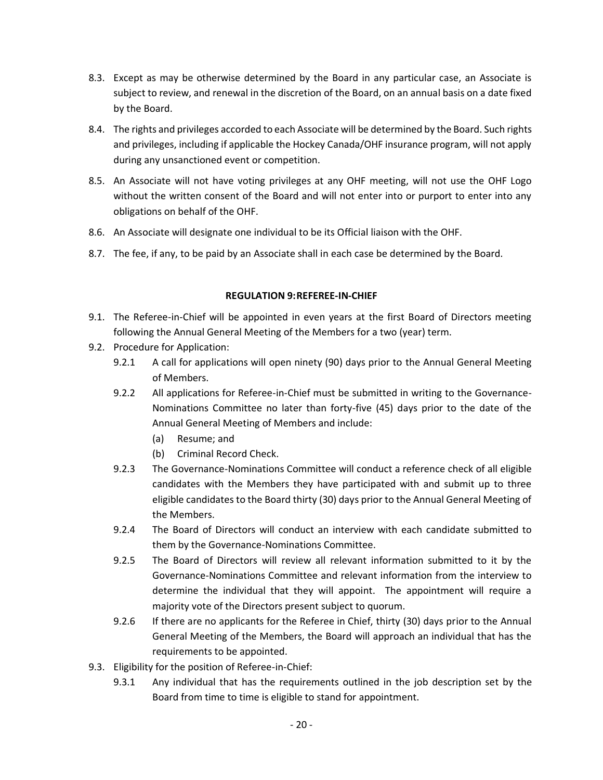- 8.3. Except as may be otherwise determined by the Board in any particular case, an Associate is subject to review, and renewal in the discretion of the Board, on an annual basis on a date fixed by the Board.
- 8.4. The rights and privileges accorded to each Associate will be determined by the Board. Such rights and privileges, including if applicable the Hockey Canada/OHF insurance program, will not apply during any unsanctioned event or competition.
- 8.5. An Associate will not have voting privileges at any OHF meeting, will not use the OHF Logo without the written consent of the Board and will not enter into or purport to enter into any obligations on behalf of the OHF.
- 8.6. An Associate will designate one individual to be its Official liaison with the OHF.
- 8.7. The fee, if any, to be paid by an Associate shall in each case be determined by the Board.

# **REGULATION 9:REFEREE-IN-CHIEF**

- 9.1. The Referee-in-Chief will be appointed in even years at the first Board of Directors meeting following the Annual General Meeting of the Members for a two (year) term.
- 9.2. Procedure for Application:
	- 9.2.1 A call for applications will open ninety (90) days prior to the Annual General Meeting of Members.
	- 9.2.2 All applications for Referee-in-Chief must be submitted in writing to the Governance-Nominations Committee no later than forty-five (45) days prior to the date of the Annual General Meeting of Members and include:
		- (a) Resume; and
		- (b) Criminal Record Check.
	- 9.2.3 The Governance-Nominations Committee will conduct a reference check of all eligible candidates with the Members they have participated with and submit up to three eligible candidates to the Board thirty (30) days prior to the Annual General Meeting of the Members.
	- 9.2.4 The Board of Directors will conduct an interview with each candidate submitted to them by the Governance-Nominations Committee.
	- 9.2.5 The Board of Directors will review all relevant information submitted to it by the Governance-Nominations Committee and relevant information from the interview to determine the individual that they will appoint. The appointment will require a majority vote of the Directors present subject to quorum.
	- 9.2.6 If there are no applicants for the Referee in Chief, thirty (30) days prior to the Annual General Meeting of the Members, the Board will approach an individual that has the requirements to be appointed.
- 9.3. Eligibility for the position of Referee-in-Chief:
	- 9.3.1 Any individual that has the requirements outlined in the job description set by the Board from time to time is eligible to stand for appointment.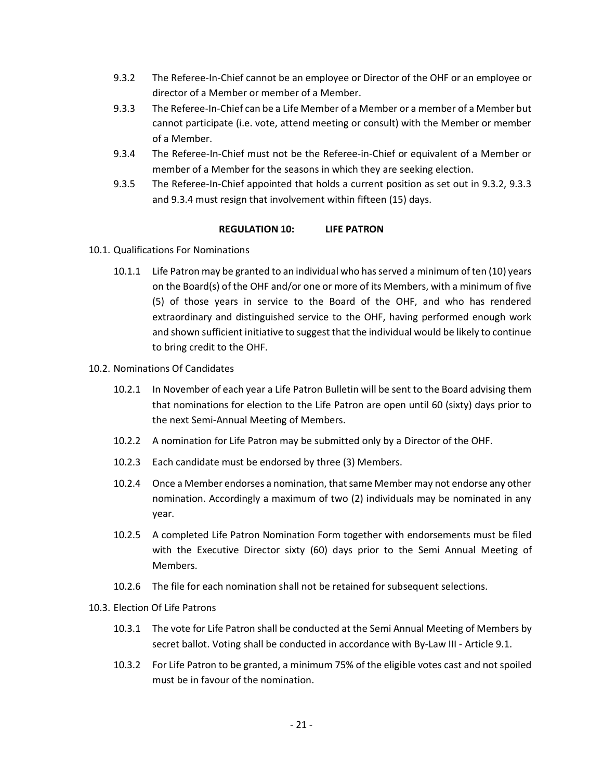- 9.3.2 The Referee-In-Chief cannot be an employee or Director of the OHF or an employee or director of a Member or member of a Member.
- 9.3.3 The Referee-In-Chief can be a Life Member of a Member or a member of a Member but cannot participate (i.e. vote, attend meeting or consult) with the Member or member of a Member.
- 9.3.4 The Referee-In-Chief must not be the Referee-in-Chief or equivalent of a Member or member of a Member for the seasons in which they are seeking election.
- 9.3.5 The Referee-In-Chief appointed that holds a current position as set out in 9.3.2, 9.3.3 and 9.3.4 must resign that involvement within fifteen (15) days.

## **REGULATION 10: LIFE PATRON**

- 10.1. Qualifications For Nominations
	- 10.1.1 Life Patron may be granted to an individual who has served a minimum of ten (10) years on the Board(s) of the OHF and/or one or more of its Members, with a minimum of five (5) of those years in service to the Board of the OHF, and who has rendered extraordinary and distinguished service to the OHF, having performed enough work and shown sufficient initiative to suggest that the individual would be likely to continue to bring credit to the OHF.
- 10.2. Nominations Of Candidates
	- 10.2.1 In November of each year a Life Patron Bulletin will be sent to the Board advising them that nominations for election to the Life Patron are open until 60 (sixty) days prior to the next Semi-Annual Meeting of Members.
	- 10.2.2 A nomination for Life Patron may be submitted only by a Director of the OHF.
	- 10.2.3 Each candidate must be endorsed by three (3) Members.
	- 10.2.4 Once a Member endorses a nomination, that same Member may not endorse any other nomination. Accordingly a maximum of two (2) individuals may be nominated in any year.
	- 10.2.5 A completed Life Patron Nomination Form together with endorsements must be filed with the Executive Director sixty (60) days prior to the Semi Annual Meeting of Members.
	- 10.2.6 The file for each nomination shall not be retained for subsequent selections.

# 10.3. Election Of Life Patrons

- 10.3.1 The vote for Life Patron shall be conducted at the Semi Annual Meeting of Members by secret ballot. Voting shall be conducted in accordance with By-Law III - Article 9.1.
- 10.3.2 For Life Patron to be granted, a minimum 75% of the eligible votes cast and not spoiled must be in favour of the nomination.